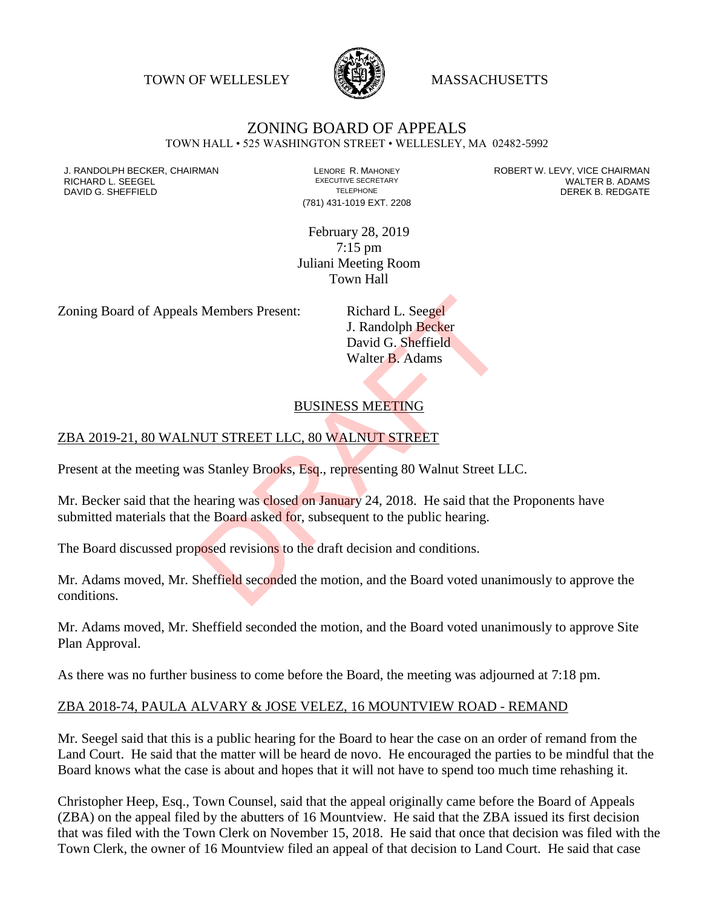TOWN OF WELLESLEY **WASSACHUSETTS** 



## ZONING BOARD OF APPEALS

TOWN HALL • 525 WASHINGTON STREET • WELLESLEY, MA 02482-5992

DAVID G. SHEFFIELD

(781) 431-1019 EXT. 2208

J. RANDOLPH BECKER, CHAIRMAN LENORE R. MAHONEY LENORE R. MAHONEY ROBERT W. LEVY, VICE CHAIRMAN LENORE R. ADAMS<br>RICHARD L. SEEGEL LENDRE ADAMS EXECUTIVE SECRETARY LENORE R. ADAMS RICHARD L. SEEGEL EXECUTIVE SECRETARY WALTER B. ADAMS

> February 28, 2019 7:15 pm Juliani Meeting Room Town Hall

Zoning Board of Appeals Members Present: Richard L. Seegel

J. Randolph Becker David G. Sheffield Walter B. Adams

## BUSINESS MEETING

## ZBA 2019-21, 80 WALNUT STREET LLC, 80 WALNUT STREET

Present at the meeting was Stanley Brooks, Esq., representing 80 Walnut Street LLC.

Mr. Becker said that the hearing was closed on January 24, 2018. He said that the Proponents have submitted materials that the Board asked for, subsequent to the public hearing. S. Members Present:<br>
J. Randolph Becker<br>
David G. Sheffield<br>
Walter B. Adams<br>
BUSINESS MEETING<br>
NUT STREET LLC, 80 WALNUT STREET<br>
as Stanley Brooks, Esq., representing 80 Walnut Street L.<br>
hearing was closed on January 24,

The Board discussed proposed revisions to the draft decision and conditions.

Mr. Adams moved, Mr. Sheffield seconded the motion, and the Board voted unanimously to approve the conditions.

Mr. Adams moved, Mr. Sheffield seconded the motion, and the Board voted unanimously to approve Site Plan Approval.

As there was no further business to come before the Board, the meeting was adjourned at 7:18 pm.

## ZBA 2018-74, PAULA ALVARY & JOSE VELEZ, 16 MOUNTVIEW ROAD - REMAND

Mr. Seegel said that this is a public hearing for the Board to hear the case on an order of remand from the Land Court. He said that the matter will be heard de novo. He encouraged the parties to be mindful that the Board knows what the case is about and hopes that it will not have to spend too much time rehashing it.

Christopher Heep, Esq., Town Counsel, said that the appeal originally came before the Board of Appeals (ZBA) on the appeal filed by the abutters of 16 Mountview. He said that the ZBA issued its first decision that was filed with the Town Clerk on November 15, 2018. He said that once that decision was filed with the Town Clerk, the owner of 16 Mountview filed an appeal of that decision to Land Court. He said that case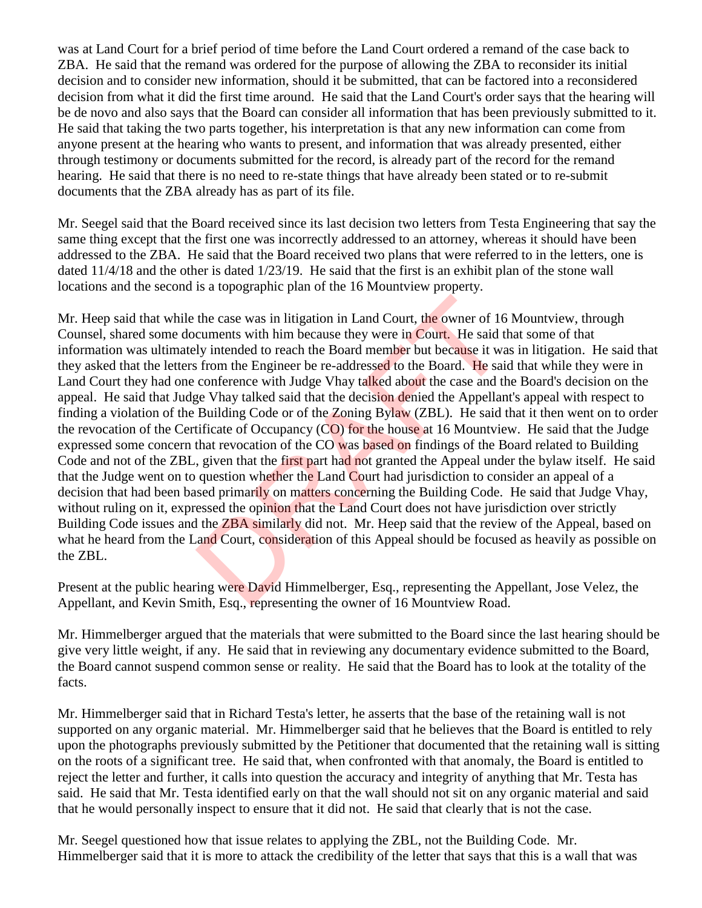was at Land Court for a brief period of time before the Land Court ordered a remand of the case back to ZBA. He said that the remand was ordered for the purpose of allowing the ZBA to reconsider its initial decision and to consider new information, should it be submitted, that can be factored into a reconsidered decision from what it did the first time around. He said that the Land Court's order says that the hearing will be de novo and also says that the Board can consider all information that has been previously submitted to it. He said that taking the two parts together, his interpretation is that any new information can come from anyone present at the hearing who wants to present, and information that was already presented, either through testimony or documents submitted for the record, is already part of the record for the remand hearing. He said that there is no need to re-state things that have already been stated or to re-submit documents that the ZBA already has as part of its file.

Mr. Seegel said that the Board received since its last decision two letters from Testa Engineering that say the same thing except that the first one was incorrectly addressed to an attorney, whereas it should have been addressed to the ZBA. He said that the Board received two plans that were referred to in the letters, one is dated 11/4/18 and the other is dated 1/23/19. He said that the first is an exhibit plan of the stone wall locations and the second is a topographic plan of the 16 Mountview property.

Mr. Heep said that while the case was in litigation in Land Court, the owner of 16 Mountview, through Counsel, shared some documents with him because they were in Court. He said that some of that information was ultimately intended to reach the Board member but because it was in litigation. He said that they asked that the letters from the Engineer be re-addressed to the Board. He said that while they were in Land Court they had one conference with Judge Vhay talked about the case and the Board's decision on the appeal. He said that Judge Vhay talked said that the decision denied the Appellant's appeal with respect to finding a violation of the Building Code or of the Zoning Bylaw (ZBL). He said that it then went on to order the revocation of the Certificate of Occupancy (CO) for the house at 16 Mountview. He said that the Judge expressed some concern that revocation of the CO was based on findings of the Board related to Building Code and not of the ZBL, given that the first part had not granted the Appeal under the bylaw itself. He said that the Judge went on to question whether the Land Court had jurisdiction to consider an appeal of a decision that had been based primarily on matters concerning the Building Code. He said that Judge Vhay, without ruling on it, expressed the opinion that the Land Court does not have jurisdiction over strictly Building Code issues and the **ZBA similarly** did not. Mr. Heep said that the review of the Appeal, based on what he heard from the Land Court, consideration of this Appeal should be focused as heavily as possible on the ZBL. the case was in litigation in Land Court, the owner of 16<br>cuments with him because they were in Court. He said tly<br>intended to reach the Board member but because it was<br>from the Engineer be re-addressed to the Board. He sa

Present at the public hearing were David Himmelberger, Esq., representing the Appellant, Jose Velez, the Appellant, and Kevin Smith, Esq., representing the owner of 16 Mountview Road.

Mr. Himmelberger argued that the materials that were submitted to the Board since the last hearing should be give very little weight, if any. He said that in reviewing any documentary evidence submitted to the Board, the Board cannot suspend common sense or reality. He said that the Board has to look at the totality of the facts.

Mr. Himmelberger said that in Richard Testa's letter, he asserts that the base of the retaining wall is not supported on any organic material. Mr. Himmelberger said that he believes that the Board is entitled to rely upon the photographs previously submitted by the Petitioner that documented that the retaining wall is sitting on the roots of a significant tree. He said that, when confronted with that anomaly, the Board is entitled to reject the letter and further, it calls into question the accuracy and integrity of anything that Mr. Testa has said. He said that Mr. Testa identified early on that the wall should not sit on any organic material and said that he would personally inspect to ensure that it did not. He said that clearly that is not the case.

Mr. Seegel questioned how that issue relates to applying the ZBL, not the Building Code. Mr. Himmelberger said that it is more to attack the credibility of the letter that says that this is a wall that was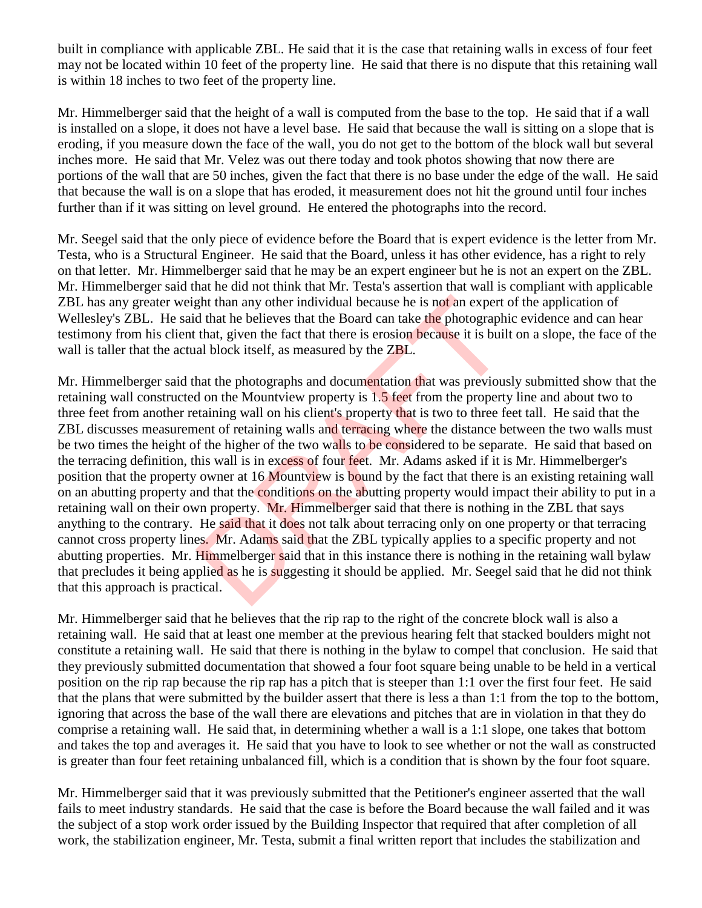built in compliance with applicable ZBL. He said that it is the case that retaining walls in excess of four feet may not be located within 10 feet of the property line. He said that there is no dispute that this retaining wall is within 18 inches to two feet of the property line.

Mr. Himmelberger said that the height of a wall is computed from the base to the top. He said that if a wall is installed on a slope, it does not have a level base. He said that because the wall is sitting on a slope that is eroding, if you measure down the face of the wall, you do not get to the bottom of the block wall but several inches more. He said that Mr. Velez was out there today and took photos showing that now there are portions of the wall that are 50 inches, given the fact that there is no base under the edge of the wall. He said that because the wall is on a slope that has eroded, it measurement does not hit the ground until four inches further than if it was sitting on level ground. He entered the photographs into the record.

Mr. Seegel said that the only piece of evidence before the Board that is expert evidence is the letter from Mr. Testa, who is a Structural Engineer. He said that the Board, unless it has other evidence, has a right to rely on that letter. Mr. Himmelberger said that he may be an expert engineer but he is not an expert on the ZBL. Mr. Himmelberger said that he did not think that Mr. Testa's assertion that wall is compliant with applicable ZBL has any greater weight than any other individual because he is not an expert of the application of Wellesley's ZBL. He said that he believes that the Board can take the photographic evidence and can hear testimony from his client that, given the fact that there is erosion because it is built on a slope, the face of the wall is taller that the actual block itself, as measured by the **ZBL**.

Mr. Himmelberger said that the photographs and documentation that was previously submitted show that the retaining wall constructed on the Mountview property is 1.5 feet from the property line and about two to three feet from another retaining wall on his client's property that is two to three feet tall. He said that the ZBL discusses measurement of retaining walls and terracing where the distance between the two walls must be two times the height of the higher of the two walls to be considered to be separate. He said that based on the terracing definition, this wall is in excess of four feet. Mr. Adams asked if it is Mr. Himmelberger's position that the property owner at 16 Mountview is bound by the fact that there is an existing retaining wall on an abutting property and that the conditions on the abutting property would impact their ability to put in a retaining wall on their own property. Mr. Himmelberger said that there is nothing in the ZBL that says anything to the contrary. He said that it does not talk about terracing only on one property or that terracing cannot cross property lines. Mr. Adams said that the ZBL typically applies to a specific property and not abutting properties. Mr. Himmelberger said that in this instance there is nothing in the retaining wall bylaw that precludes it being applied as he is suggesting it should be applied. Mr. Seegel said that he did not think that this approach is practical. ght than any other individual because he is not an expert<br>d that he believes that the Board can take the photograph<br>that, given the fact that there is erosion because it is buil<br>al block itself, as measured by the ZBL.<br>hat

Mr. Himmelberger said that he believes that the rip rap to the right of the concrete block wall is also a retaining wall. He said that at least one member at the previous hearing felt that stacked boulders might not constitute a retaining wall. He said that there is nothing in the bylaw to compel that conclusion. He said that they previously submitted documentation that showed a four foot square being unable to be held in a vertical position on the rip rap because the rip rap has a pitch that is steeper than 1:1 over the first four feet. He said that the plans that were submitted by the builder assert that there is less a than 1:1 from the top to the bottom, ignoring that across the base of the wall there are elevations and pitches that are in violation in that they do comprise a retaining wall. He said that, in determining whether a wall is a 1:1 slope, one takes that bottom and takes the top and averages it. He said that you have to look to see whether or not the wall as constructed is greater than four feet retaining unbalanced fill, which is a condition that is shown by the four foot square.

Mr. Himmelberger said that it was previously submitted that the Petitioner's engineer asserted that the wall fails to meet industry standards. He said that the case is before the Board because the wall failed and it was the subject of a stop work order issued by the Building Inspector that required that after completion of all work, the stabilization engineer, Mr. Testa, submit a final written report that includes the stabilization and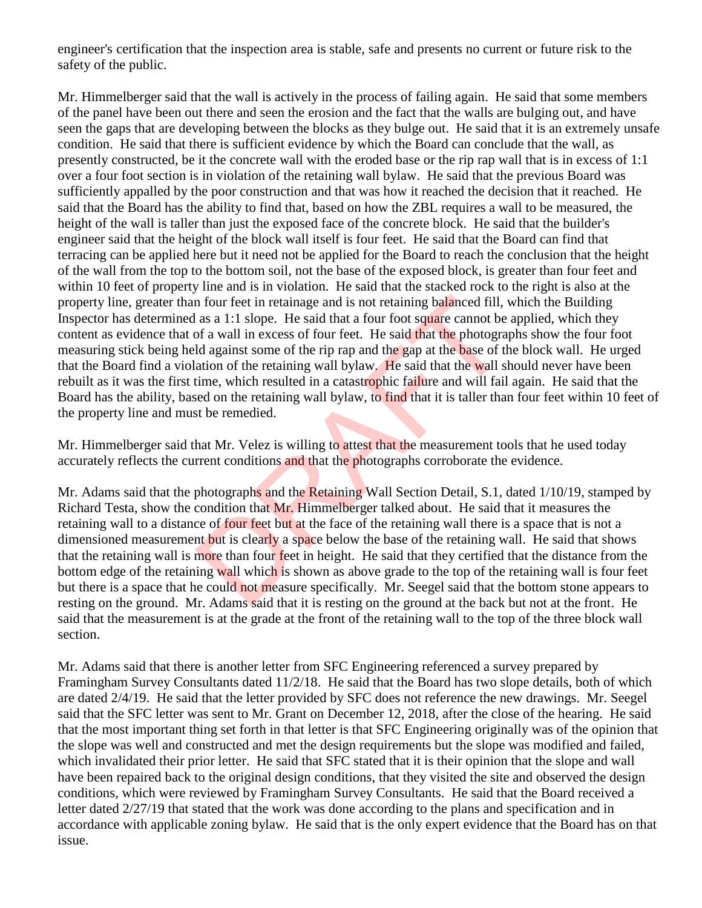engineer's certification that the inspection area is stable, safe and presents no current or future risk to the safety of the public.

Mr. Himmelberger said that the wall is actively in the process of failing again. He said that some members of the panel have been out there and seen the erosion and the fact that the walls are bulging out, and have seen the gaps that are developing between the blocks as they bulge out. He said that it is an extremely unsafe condition. He said that there is sufficient evidence by which the Board can conclude that the wall, as presently constructed, be it the concrete wall with the eroded base or the rip rap wall that is in excess of 1:1 over a four foot section is in violation of the retaining wall bylaw. He said that the previous Board was sufficiently appalled by the poor construction and that was how it reached the decision that it reached. He said that the Board has the ability to find that, based on how the ZBL requires a wall to be measured, the height of the wall is taller than just the exposed face of the concrete block. He said that the builder's engineer said that the height of the block wall itself is four feet. He said that the Board can find that terracing can be applied here but it need not be applied for the Board to reach the conclusion that the height of the wall from the top to the bottom soil, not the base of the exposed block, is greater than four feet and within 10 feet of property line and is in violation. He said that the stacked rock to the right is also at the property line, greater than four feet in retainage and is not retaining balanced fill, which the Building Inspector has determined as a 1:1 slope. He said that a four foot square cannot be applied, which they content as evidence that of a wall in excess of four feet. He said that the photographs show the four foot measuring stick being held against some of the rip rap and the gap at the base of the block wall. He urged that the Board find a violation of the retaining wall bylaw. He said that the wall should never have been rebuilt as it was the first time, which resulted in a catastrophic failure and will fail again. He said that the Board has the ability, based on the retaining wall bylaw, to find that it is taller than four feet within 10 feet of the property line and must be remedied. In four feet in retainage and is not retaining balanced fill,<br>as a 1:1 slope. He said that a four foot square cannot be<br>of a wall in excess of four feet. He said that the photogra<br>ld against some of the rip rap and the gap

Mr. Himmelberger said that Mr. Velez is willing to attest that the measurement tools that he used today accurately reflects the current conditions and that the photographs corroborate the evidence.

Mr. Adams said that the photographs and the Retaining Wall Section Detail, S.1, dated 1/10/19, stamped by Richard Testa, show the condition that Mr. Himmelberger talked about. He said that it measures the retaining wall to a distance of four feet but at the face of the retaining wall there is a space that is not a dimensioned measurement but is clearly a space below the base of the retaining wall. He said that shows that the retaining wall is more than four feet in height. He said that they certified that the distance from the bottom edge of the retaining wall which is shown as above grade to the top of the retaining wall is four feet but there is a space that he could not measure specifically. Mr. Seegel said that the bottom stone appears to resting on the ground. Mr. Adams said that it is resting on the ground at the back but not at the front. He said that the measurement is at the grade at the front of the retaining wall to the top of the three block wall section.

Mr. Adams said that there is another letter from SFC Engineering referenced a survey prepared by Framingham Survey Consultants dated 11/2/18. He said that the Board has two slope details, both of which are dated 2/4/19. He said that the letter provided by SFC does not reference the new drawings. Mr. Seegel said that the SFC letter was sent to Mr. Grant on December 12, 2018, after the close of the hearing. He said that the most important thing set forth in that letter is that SFC Engineering originally was of the opinion that the slope was well and constructed and met the design requirements but the slope was modified and failed, which invalidated their prior letter. He said that SFC stated that it is their opinion that the slope and wall have been repaired back to the original design conditions, that they visited the site and observed the design conditions, which were reviewed by Framingham Survey Consultants. He said that the Board received a letter dated 2/27/19 that stated that the work was done according to the plans and specification and in accordance with applicable zoning bylaw. He said that is the only expert evidence that the Board has on that issue.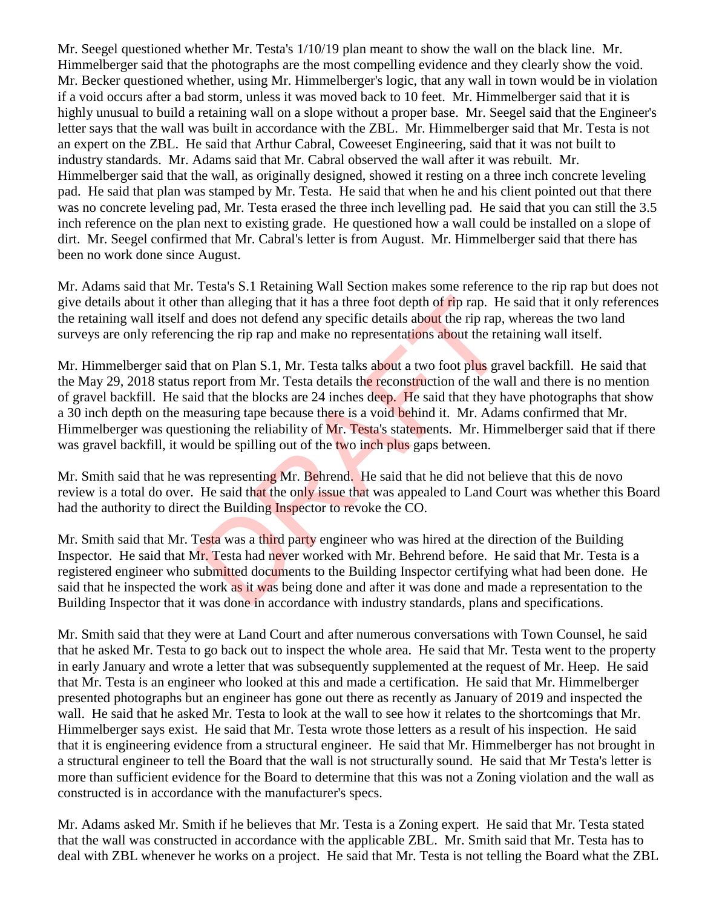Mr. Seegel questioned whether Mr. Testa's 1/10/19 plan meant to show the wall on the black line. Mr. Himmelberger said that the photographs are the most compelling evidence and they clearly show the void. Mr. Becker questioned whether, using Mr. Himmelberger's logic, that any wall in town would be in violation if a void occurs after a bad storm, unless it was moved back to 10 feet. Mr. Himmelberger said that it is highly unusual to build a retaining wall on a slope without a proper base. Mr. Seegel said that the Engineer's letter says that the wall was built in accordance with the ZBL. Mr. Himmelberger said that Mr. Testa is not an expert on the ZBL. He said that Arthur Cabral, Coweeset Engineering, said that it was not built to industry standards. Mr. Adams said that Mr. Cabral observed the wall after it was rebuilt. Mr. Himmelberger said that the wall, as originally designed, showed it resting on a three inch concrete leveling pad. He said that plan was stamped by Mr. Testa. He said that when he and his client pointed out that there was no concrete leveling pad, Mr. Testa erased the three inch levelling pad. He said that you can still the 3.5 inch reference on the plan next to existing grade. He questioned how a wall could be installed on a slope of dirt. Mr. Seegel confirmed that Mr. Cabral's letter is from August. Mr. Himmelberger said that there has been no work done since August.

Mr. Adams said that Mr. Testa's S.1 Retaining Wall Section makes some reference to the rip rap but does not give details about it other than alleging that it has a three foot depth of rip rap. He said that it only references the retaining wall itself and does not defend any specific details about the rip rap, whereas the two land surveys are only referencing the rip rap and make no representations about the retaining wall itself.

Mr. Himmelberger said that on Plan S.1, Mr. Testa talks about a two foot plus gravel backfill. He said that the May 29, 2018 status report from Mr. Testa details the reconstruction of the wall and there is no mention of gravel backfill. He said that the blocks are 24 inches deep. He said that they have photographs that show a 30 inch depth on the measuring tape because there is a void behind it. Mr. Adams confirmed that Mr. Himmelberger was questioning the reliability of Mr. Testa's statements. Mr. Himmelberger said that if there was gravel backfill, it would be spilling out of the two inch plus gaps between. r than alleging that it has a three foot depth of rip rap. He<br>nd does not defend any specific details about the rip rap,<br>ing the rip rap and make no representations about the ret.<br>hat on Plan S.1, Mr. Testa talks about a

Mr. Smith said that he was representing Mr. Behrend. He said that he did not believe that this de novo review is a total do over. He said that the only issue that was appealed to Land Court was whether this Board had the authority to direct the Building Inspector to revoke the CO.

Mr. Smith said that Mr. Testa was a third party engineer who was hired at the direction of the Building Inspector. He said that Mr. Testa had never worked with Mr. Behrend before. He said that Mr. Testa is a registered engineer who submitted documents to the Building Inspector certifying what had been done. He said that he inspected the work as it was being done and after it was done and made a representation to the Building Inspector that it was done in accordance with industry standards, plans and specifications.

Mr. Smith said that they were at Land Court and after numerous conversations with Town Counsel, he said that he asked Mr. Testa to go back out to inspect the whole area. He said that Mr. Testa went to the property in early January and wrote a letter that was subsequently supplemented at the request of Mr. Heep. He said that Mr. Testa is an engineer who looked at this and made a certification. He said that Mr. Himmelberger presented photographs but an engineer has gone out there as recently as January of 2019 and inspected the wall. He said that he asked Mr. Testa to look at the wall to see how it relates to the shortcomings that Mr. Himmelberger says exist. He said that Mr. Testa wrote those letters as a result of his inspection. He said that it is engineering evidence from a structural engineer. He said that Mr. Himmelberger has not brought in a structural engineer to tell the Board that the wall is not structurally sound. He said that Mr Testa's letter is more than sufficient evidence for the Board to determine that this was not a Zoning violation and the wall as constructed is in accordance with the manufacturer's specs.

Mr. Adams asked Mr. Smith if he believes that Mr. Testa is a Zoning expert. He said that Mr. Testa stated that the wall was constructed in accordance with the applicable ZBL. Mr. Smith said that Mr. Testa has to deal with ZBL whenever he works on a project. He said that Mr. Testa is not telling the Board what the ZBL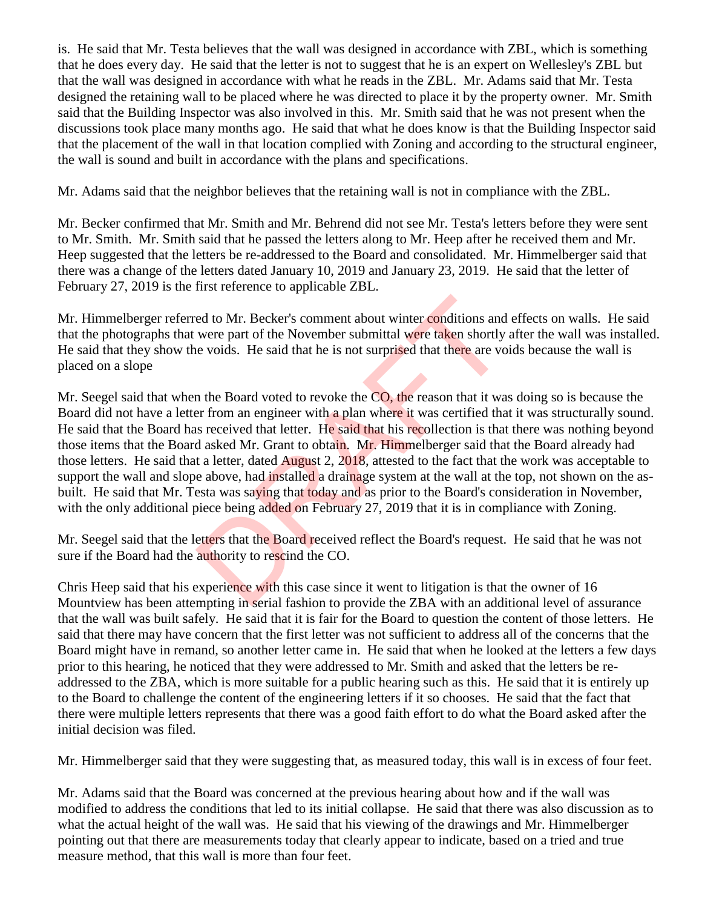is. He said that Mr. Testa believes that the wall was designed in accordance with ZBL, which is something that he does every day. He said that the letter is not to suggest that he is an expert on Wellesley's ZBL but that the wall was designed in accordance with what he reads in the ZBL. Mr. Adams said that Mr. Testa designed the retaining wall to be placed where he was directed to place it by the property owner. Mr. Smith said that the Building Inspector was also involved in this. Mr. Smith said that he was not present when the discussions took place many months ago. He said that what he does know is that the Building Inspector said that the placement of the wall in that location complied with Zoning and according to the structural engineer, the wall is sound and built in accordance with the plans and specifications.

Mr. Adams said that the neighbor believes that the retaining wall is not in compliance with the ZBL.

Mr. Becker confirmed that Mr. Smith and Mr. Behrend did not see Mr. Testa's letters before they were sent to Mr. Smith. Mr. Smith said that he passed the letters along to Mr. Heep after he received them and Mr. Heep suggested that the letters be re-addressed to the Board and consolidated. Mr. Himmelberger said that there was a change of the letters dated January 10, 2019 and January 23, 2019. He said that the letter of February 27, 2019 is the first reference to applicable ZBL.

Mr. Himmelberger referred to Mr. Becker's comment about winter conditions and effects on walls. He said that the photographs that were part of the November submittal were taken shortly after the wall was installed. He said that they show the voids. He said that he is not surprised that there are voids because the wall is placed on a slope

Mr. Seegel said that when the Board voted to revoke the CO, the reason that it was doing so is because the Board did not have a letter from an engineer with a plan where it was certified that it was structurally sound. He said that the Board has received that letter. He said that his recollection is that there was nothing beyond those items that the Board asked Mr. Grant to obtain. Mr. Himmelberger said that the Board already had those letters. He said that a letter, dated August 2, 2018, attested to the fact that the work was acceptable to support the wall and slope above, had installed a drainage system at the wall at the top, not shown on the asbuilt. He said that Mr. Testa was saying that today and as prior to the Board's consideration in November, with the only additional piece being added on February 27, 2019 that it is in compliance with Zoning. ed to Mr. Becker's comment about winter conditions and<br>were part of the November submittal were taken shortly<br>le voids. He said that he is not surprised that there are vo<br>n the Board voted to revoke the CO, the reason that

Mr. Seegel said that the letters that the Board received reflect the Board's request. He said that he was not sure if the Board had the authority to rescind the CO.

Chris Heep said that his experience with this case since it went to litigation is that the owner of 16 Mountview has been attempting in serial fashion to provide the ZBA with an additional level of assurance that the wall was built safely. He said that it is fair for the Board to question the content of those letters. He said that there may have concern that the first letter was not sufficient to address all of the concerns that the Board might have in remand, so another letter came in. He said that when he looked at the letters a few days prior to this hearing, he noticed that they were addressed to Mr. Smith and asked that the letters be readdressed to the ZBA, which is more suitable for a public hearing such as this. He said that it is entirely up to the Board to challenge the content of the engineering letters if it so chooses. He said that the fact that there were multiple letters represents that there was a good faith effort to do what the Board asked after the initial decision was filed.

Mr. Himmelberger said that they were suggesting that, as measured today, this wall is in excess of four feet.

Mr. Adams said that the Board was concerned at the previous hearing about how and if the wall was modified to address the conditions that led to its initial collapse. He said that there was also discussion as to what the actual height of the wall was. He said that his viewing of the drawings and Mr. Himmelberger pointing out that there are measurements today that clearly appear to indicate, based on a tried and true measure method, that this wall is more than four feet.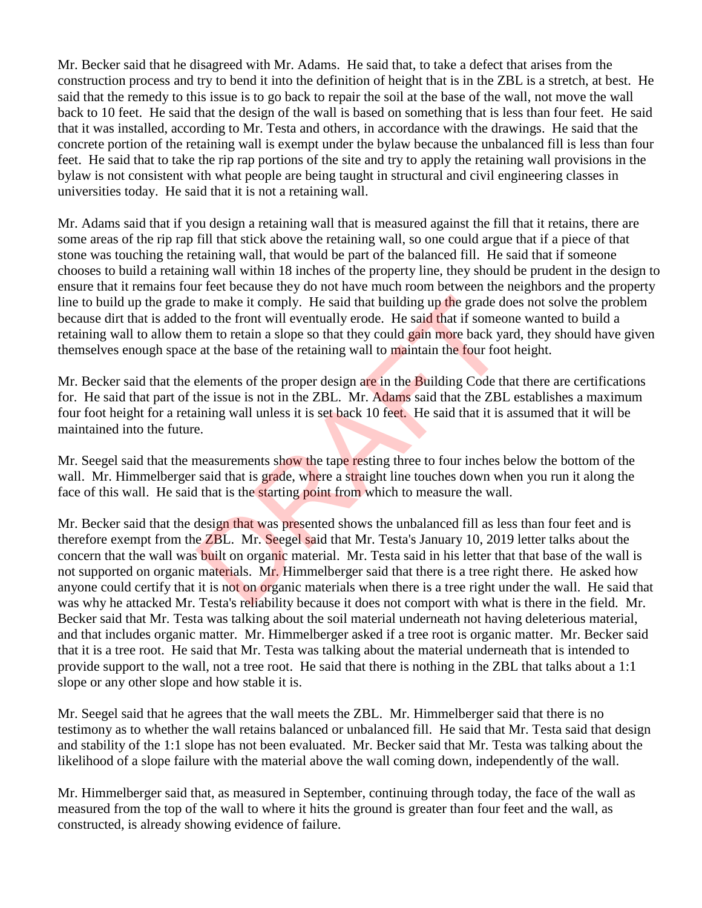Mr. Becker said that he disagreed with Mr. Adams. He said that, to take a defect that arises from the construction process and try to bend it into the definition of height that is in the ZBL is a stretch, at best. He said that the remedy to this issue is to go back to repair the soil at the base of the wall, not move the wall back to 10 feet. He said that the design of the wall is based on something that is less than four feet. He said that it was installed, according to Mr. Testa and others, in accordance with the drawings. He said that the concrete portion of the retaining wall is exempt under the bylaw because the unbalanced fill is less than four feet. He said that to take the rip rap portions of the site and try to apply the retaining wall provisions in the bylaw is not consistent with what people are being taught in structural and civil engineering classes in universities today. He said that it is not a retaining wall.

Mr. Adams said that if you design a retaining wall that is measured against the fill that it retains, there are some areas of the rip rap fill that stick above the retaining wall, so one could argue that if a piece of that stone was touching the retaining wall, that would be part of the balanced fill. He said that if someone chooses to build a retaining wall within 18 inches of the property line, they should be prudent in the design to ensure that it remains four feet because they do not have much room between the neighbors and the property line to build up the grade to make it comply. He said that building up the grade does not solve the problem because dirt that is added to the front will eventually erode. He said that if someone wanted to build a retaining wall to allow them to retain a slope so that they could gain more back yard, they should have given themselves enough space at the base of the retaining wall to maintain the four foot height.

Mr. Becker said that the elements of the proper design are in the Building Code that there are certifications for. He said that part of the issue is not in the ZBL. Mr. Adams said that the ZBL establishes a maximum four foot height for a retaining wall unless it is set back 10 feet. He said that it is assumed that it will be maintained into the future.

Mr. Seegel said that the measurements show the tape resting three to four inches below the bottom of the wall. Mr. Himmelberger said that is grade, where a straight line touches down when you run it along the face of this wall. He said that is the starting point from which to measure the wall.

Mr. Becker said that the design that was presented shows the unbalanced fill as less than four feet and is therefore exempt from the ZBL. Mr. Seegel said that Mr. Testa's January 10, 2019 letter talks about the concern that the wall was built on organic material. Mr. Testa said in his letter that that base of the wall is not supported on organic materials. Mr. Himmelberger said that there is a tree right there. He asked how anyone could certify that it is not on organic materials when there is a tree right under the wall. He said that was why he attacked Mr. Testa's reliability because it does not comport with what is there in the field. Mr. Becker said that Mr. Testa was talking about the soil material underneath not having deleterious material, and that includes organic matter. Mr. Himmelberger asked if a tree root is organic matter. Mr. Becker said that it is a tree root. He said that Mr. Testa was talking about the material underneath that is intended to provide support to the wall, not a tree root. He said that there is nothing in the ZBL that talks about a 1:1 slope or any other slope and how stable it is. to make it comply. He said that building up the grade de to the front will eventually erode. He said that if someo em to retain a slope so that they could gain more back ya at the base of the retaining wall to maintain the

Mr. Seegel said that he agrees that the wall meets the ZBL. Mr. Himmelberger said that there is no testimony as to whether the wall retains balanced or unbalanced fill. He said that Mr. Testa said that design and stability of the 1:1 slope has not been evaluated. Mr. Becker said that Mr. Testa was talking about the likelihood of a slope failure with the material above the wall coming down, independently of the wall.

Mr. Himmelberger said that, as measured in September, continuing through today, the face of the wall as measured from the top of the wall to where it hits the ground is greater than four feet and the wall, as constructed, is already showing evidence of failure.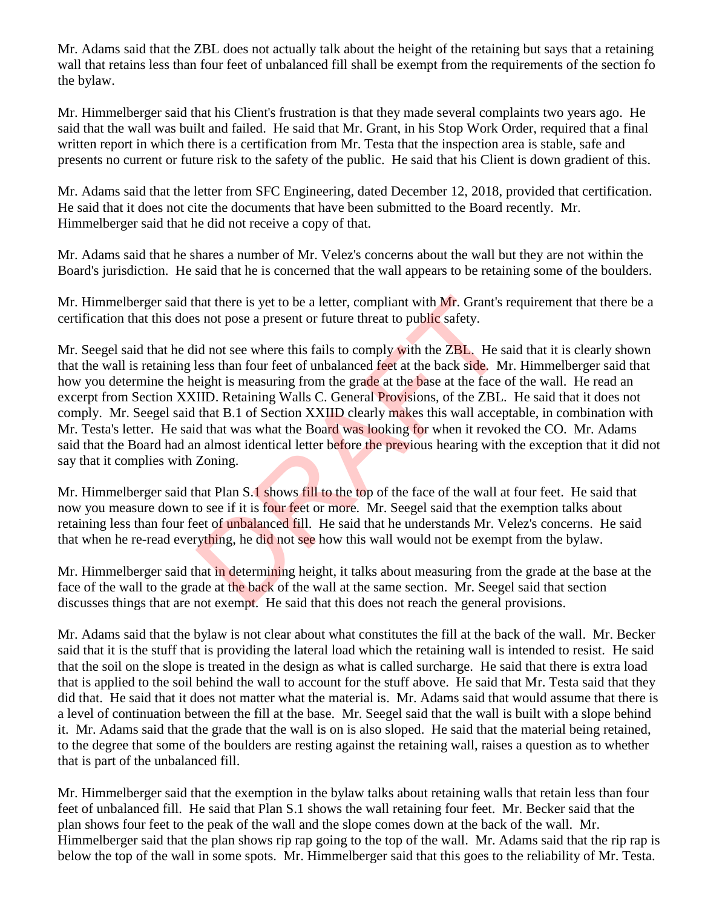Mr. Adams said that the ZBL does not actually talk about the height of the retaining but says that a retaining wall that retains less than four feet of unbalanced fill shall be exempt from the requirements of the section fo the bylaw.

Mr. Himmelberger said that his Client's frustration is that they made several complaints two years ago. He said that the wall was built and failed. He said that Mr. Grant, in his Stop Work Order, required that a final written report in which there is a certification from Mr. Testa that the inspection area is stable, safe and presents no current or future risk to the safety of the public. He said that his Client is down gradient of this.

Mr. Adams said that the letter from SFC Engineering, dated December 12, 2018, provided that certification. He said that it does not cite the documents that have been submitted to the Board recently. Mr. Himmelberger said that he did not receive a copy of that.

Mr. Adams said that he shares a number of Mr. Velez's concerns about the wall but they are not within the Board's jurisdiction. He said that he is concerned that the wall appears to be retaining some of the boulders.

Mr. Himmelberger said that there is yet to be a letter, compliant with Mr. Grant's requirement that there be a certification that this does not pose a present or future threat to public safety.

Mr. Seegel said that he did not see where this fails to comply with the ZBL. He said that it is clearly shown that the wall is retaining less than four feet of unbalanced feet at the back side. Mr. Himmelberger said that how you determine the height is measuring from the grade at the base at the face of the wall. He read an excerpt from Section XXIID. Retaining Walls C. General Provisions, of the ZBL. He said that it does not comply. Mr. Seegel said that B.1 of Section XXIID clearly makes this wall acceptable, in combination with Mr. Testa's letter. He said that was what the Board was looking for when it revoked the CO. Mr. Adams said that the Board had an almost identical letter before the previous hearing with the exception that it did not say that it complies with Zoning. hat there is yet to be a letter, compliant with Mr. Grant's is not pose a present or future threat to public safety.<br>
id not see where this fails to comply with the ZBL. He si<br>
less than four feet of unbalanced feet at the

Mr. Himmelberger said that Plan S.1 shows fill to the top of the face of the wall at four feet. He said that now you measure down to see if it is four feet or more. Mr. Seegel said that the exemption talks about retaining less than four feet of unbalanced fill. He said that he understands Mr. Velez's concerns. He said that when he re-read everything, he did not see how this wall would not be exempt from the bylaw.

Mr. Himmelberger said that in determining height, it talks about measuring from the grade at the base at the face of the wall to the grade at the back of the wall at the same section. Mr. Seegel said that section discusses things that are not exempt. He said that this does not reach the general provisions.

Mr. Adams said that the bylaw is not clear about what constitutes the fill at the back of the wall. Mr. Becker said that it is the stuff that is providing the lateral load which the retaining wall is intended to resist. He said that the soil on the slope is treated in the design as what is called surcharge. He said that there is extra load that is applied to the soil behind the wall to account for the stuff above. He said that Mr. Testa said that they did that. He said that it does not matter what the material is. Mr. Adams said that would assume that there is a level of continuation between the fill at the base. Mr. Seegel said that the wall is built with a slope behind it. Mr. Adams said that the grade that the wall is on is also sloped. He said that the material being retained, to the degree that some of the boulders are resting against the retaining wall, raises a question as to whether that is part of the unbalanced fill.

Mr. Himmelberger said that the exemption in the bylaw talks about retaining walls that retain less than four feet of unbalanced fill. He said that Plan S.1 shows the wall retaining four feet. Mr. Becker said that the plan shows four feet to the peak of the wall and the slope comes down at the back of the wall. Mr. Himmelberger said that the plan shows rip rap going to the top of the wall. Mr. Adams said that the rip rap is below the top of the wall in some spots. Mr. Himmelberger said that this goes to the reliability of Mr. Testa.